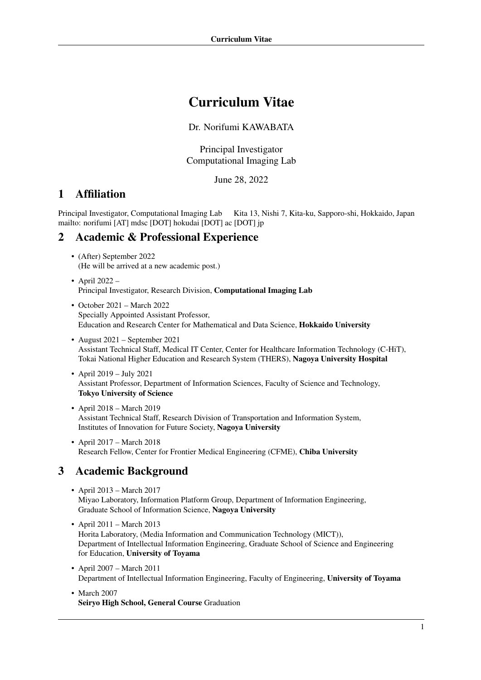# Curriculum Vitae

Dr. Norifumi KAWABATA

Principal Investigator Computational Imaging Lab

June 28, 2022

# 1 Affiliation

Principal Investigator, Computational Imaging Lab Kita 13, Nishi 7, Kita-ku, Sapporo-shi, Hokkaido, Japan mailto: norifumi [AT] mdsc [DOT] hokudai [DOT] ac [DOT] jp

# 2 Academic & Professional Experience

- (After) September 2022 (He will be arrived at a new academic post.)
- April 2022 Principal Investigator, Research Division, Computational Imaging Lab
- October 2021 March 2022 Specially Appointed Assistant Professor, Education and Research Center for Mathematical and Data Science, Hokkaido University
- August 2021 September 2021 Assistant Technical Staff, Medical IT Center, Center for Healthcare Information Technology (C-HiT), Tokai National Higher Education and Research System (THERS), Nagoya University Hospital
- April 2019 July 2021 Assistant Professor, Department of Information Sciences, Faculty of Science and Technology, Tokyo University of Science
- April 2018 March 2019 Assistant Technical Staff, Research Division of Transportation and Information System, Institutes of Innovation for Future Society, Nagoya University
- April 2017 March 2018 Research Fellow, Center for Frontier Medical Engineering (CFME), Chiba University

# 3 Academic Background

- April 2013 March 2017 Miyao Laboratory, Information Platform Group, Department of Information Engineering, Graduate School of Information Science, Nagoya University
- April 2011 March 2013 Horita Laboratory, (Media Information and Communication Technology (MICT)), Department of Intellectual Information Engineering, Graduate School of Science and Engineering for Education, University of Toyama
- April 2007 March 2011 Department of Intellectual Information Engineering, Faculty of Engineering, University of Toyama
- March 2007 Seiryo High School, General Course Graduation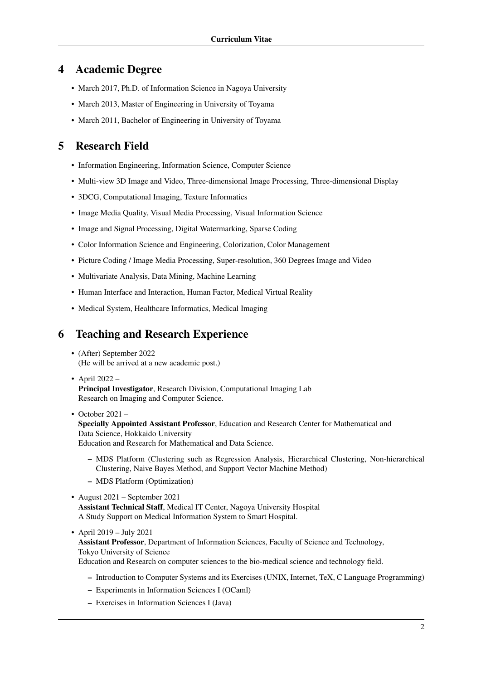## 4 Academic Degree

- March 2017, Ph.D. of Information Science in Nagoya University
- March 2013, Master of Engineering in University of Toyama
- March 2011, Bachelor of Engineering in University of Toyama

# 5 Research Field

- Information Engineering, Information Science, Computer Science
- Multi-view 3D Image and Video, Three-dimensional Image Processing, Three-dimensional Display
- 3DCG, Computational Imaging, Texture Informatics
- Image Media Quality, Visual Media Processing, Visual Information Science
- Image and Signal Processing, Digital Watermarking, Sparse Coding
- Color Information Science and Engineering, Colorization, Color Management
- Picture Coding / Image Media Processing, Super-resolution, 360 Degrees Image and Video
- Multivariate Analysis, Data Mining, Machine Learning
- Human Interface and Interaction, Human Factor, Medical Virtual Reality
- Medical System, Healthcare Informatics, Medical Imaging

## 6 Teaching and Research Experience

- (After) September 2022 (He will be arrived at a new academic post.)
- April 2022 Principal Investigator, Research Division, Computational Imaging Lab Research on Imaging and Computer Science.
- October  $2021 -$

Specially Appointed Assistant Professor, Education and Research Center for Mathematical and Data Science, Hokkaido University Education and Research for Mathematical and Data Science.

- MDS Platform (Clustering such as Regression Analysis, Hierarchical Clustering, Non-hierarchical Clustering, Naive Bayes Method, and Support Vector Machine Method)
- MDS Platform (Optimization)
- August 2021 September 2021 Assistant Technical Staff, Medical IT Center, Nagoya University Hospital A Study Support on Medical Information System to Smart Hospital.

## • April 2019 – July 2021

Assistant Professor, Department of Information Sciences, Faculty of Science and Technology, Tokyo University of Science

Education and Research on computer sciences to the bio-medical science and technology field.

- Introduction to Computer Systems and its Exercises (UNIX, Internet, TeX, C Language Programming)
- Experiments in Information Sciences I (OCaml)
- Exercises in Information Sciences I (Java)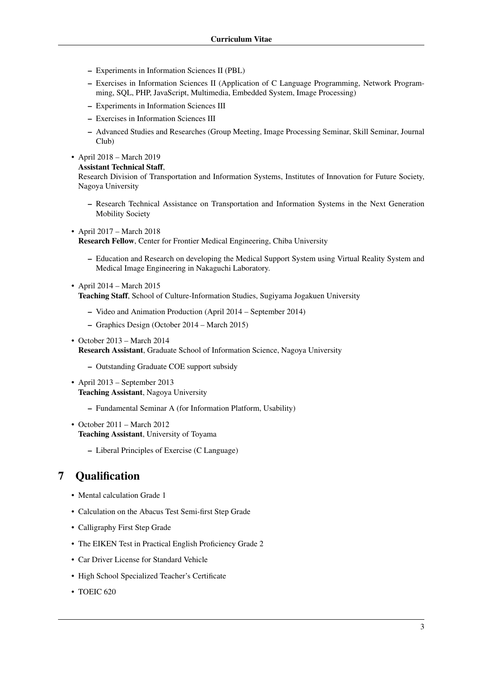- Experiments in Information Sciences II (PBL)
- Exercises in Information Sciences II (Application of C Language Programming, Network Programming, SQL, PHP, JavaScript, Multimedia, Embedded System, Image Processing)
- Experiments in Information Sciences III
- Exercises in Information Sciences III
- Advanced Studies and Researches (Group Meeting, Image Processing Seminar, Skill Seminar, Journal Club)
- April 2018 March 2019
	- Assistant Technical Staff,

Research Division of Transportation and Information Systems, Institutes of Innovation for Future Society, Nagoya University

- Research Technical Assistance on Transportation and Information Systems in the Next Generation Mobility Society
- April 2017 March 2018

Research Fellow, Center for Frontier Medical Engineering, Chiba University

- Education and Research on developing the Medical Support System using Virtual Reality System and Medical Image Engineering in Nakaguchi Laboratory.
- April 2014 March 2015 Teaching Staff, School of Culture-Information Studies, Sugiyama Jogakuen University
	- Video and Animation Production (April 2014 September 2014)
	- Graphics Design (October 2014 March 2015)
- October 2013 March 2014 Research Assistant, Graduate School of Information Science, Nagoya University
	- Outstanding Graduate COE support subsidy
- April 2013 September 2013 Teaching Assistant, Nagoya University
	- Fundamental Seminar A (for Information Platform, Usability)
- October 2011 March 2012 Teaching Assistant, University of Toyama
	- Liberal Principles of Exercise (C Language)

# 7 Qualification

- Mental calculation Grade 1
- Calculation on the Abacus Test Semi-first Step Grade
- Calligraphy First Step Grade
- The EIKEN Test in Practical English Proficiency Grade 2
- Car Driver License for Standard Vehicle
- High School Specialized Teacher's Certificate
- TOEIC 620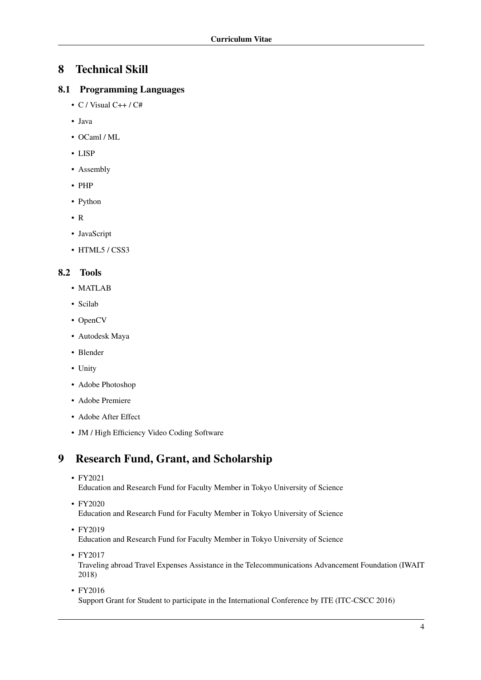# 8 Technical Skill

## 8.1 Programming Languages

- C / Visual  $C++$  /  $C#$
- Java
- OCaml / ML
- LISP
- Assembly
- PHP
- Python
- R
- JavaScript
- HTML5 / CSS3

### 8.2 Tools

- MATLAB
- Scilab
- OpenCV
- Autodesk Maya
- Blender
- Unity
- Adobe Photoshop
- Adobe Premiere
- Adobe After Effect
- JM / High Efficiency Video Coding Software

# 9 Research Fund, Grant, and Scholarship

• FY2021

Education and Research Fund for Faculty Member in Tokyo University of Science

• FY2020

Education and Research Fund for Faculty Member in Tokyo University of Science

• FY2019

Education and Research Fund for Faculty Member in Tokyo University of Science

- FY2017 Traveling abroad Travel Expenses Assistance in the Telecommunications Advancement Foundation (IWAIT 2018)
- FY2016 Support Grant for Student to participate in the International Conference by ITE (ITC-CSCC 2016)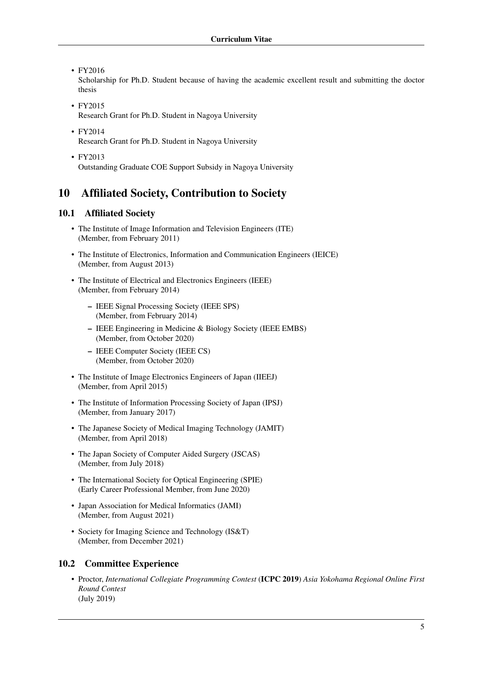• FY2016

Scholarship for Ph.D. Student because of having the academic excellent result and submitting the doctor thesis

- FY2015 Research Grant for Ph.D. Student in Nagoya University
- FY2014 Research Grant for Ph.D. Student in Nagoya University
- FY2013 Outstanding Graduate COE Support Subsidy in Nagoya University

## 10 Affiliated Society, Contribution to Society

#### 10.1 Affiliated Society

- The Institute of Image Information and Television Engineers (ITE) (Member, from February 2011)
- The Institute of Electronics, Information and Communication Engineers (IEICE) (Member, from August 2013)
- The Institute of Electrical and Electronics Engineers (IEEE) (Member, from February 2014)
	- IEEE Signal Processing Society (IEEE SPS) (Member, from February 2014)
	- IEEE Engineering in Medicine & Biology Society (IEEE EMBS) (Member, from October 2020)
	- IEEE Computer Society (IEEE CS) (Member, from October 2020)
- The Institute of Image Electronics Engineers of Japan (IIEEJ) (Member, from April 2015)
- The Institute of Information Processing Society of Japan (IPSJ) (Member, from January 2017)
- The Japanese Society of Medical Imaging Technology (JAMIT) (Member, from April 2018)
- The Japan Society of Computer Aided Surgery (JSCAS) (Member, from July 2018)
- The International Society for Optical Engineering (SPIE) (Early Career Professional Member, from June 2020)
- Japan Association for Medical Informatics (JAMI) (Member, from August 2021)
- Society for Imaging Science and Technology (IS&T) (Member, from December 2021)

#### 10.2 Committee Experience

• Proctor, *International Collegiate Programming Contest* (ICPC 2019) *Asia Yokohama Regional Online First Round Contest* (July 2019)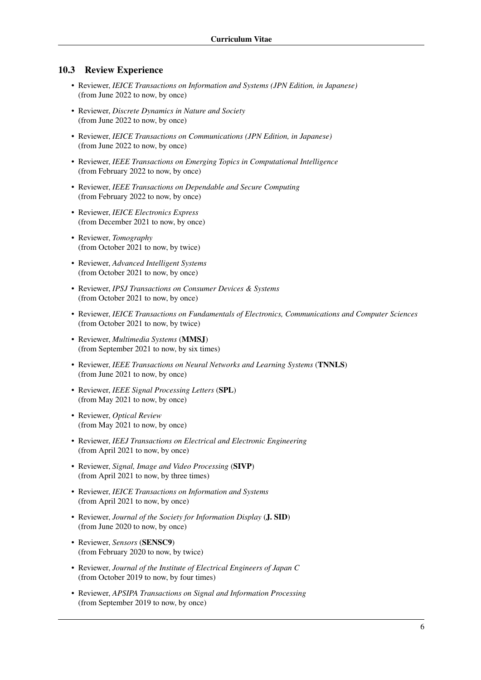#### 10.3 Review Experience

- Reviewer, *IEICE Transactions on Information and Systems (JPN Edition, in Japanese)* (from June 2022 to now, by once)
- Reviewer, *Discrete Dynamics in Nature and Society* (from June 2022 to now, by once)
- Reviewer, *IEICE Transactions on Communications (JPN Edition, in Japanese)* (from June 2022 to now, by once)
- Reviewer, *IEEE Transactions on Emerging Topics in Computational Intelligence* (from February 2022 to now, by once)
- Reviewer, *IEEE Transactions on Dependable and Secure Computing* (from February 2022 to now, by once)
- Reviewer, *IEICE Electronics Express* (from December 2021 to now, by once)
- Reviewer, *Tomography* (from October 2021 to now, by twice)
- Reviewer, *Advanced Intelligent Systems* (from October 2021 to now, by once)
- Reviewer, *IPSJ Transactions on Consumer Devices & Systems* (from October 2021 to now, by once)
- Reviewer, *IEICE Transactions on Fundamentals of Electronics, Communications and Computer Sciences* (from October 2021 to now, by twice)
- Reviewer, *Multimedia Systems* (MMSJ) (from September 2021 to now, by six times)
- Reviewer, *IEEE Transactions on Neural Networks and Learning Systems* (TNNLS) (from June 2021 to now, by once)
- Reviewer, *IEEE Signal Processing Letters* (SPL) (from May 2021 to now, by once)
- Reviewer, *Optical Review* (from May 2021 to now, by once)
- Reviewer, *IEEJ Transactions on Electrical and Electronic Engineering* (from April 2021 to now, by once)
- Reviewer, *Signal, Image and Video Processing* (SIVP) (from April 2021 to now, by three times)
- Reviewer, *IEICE Transactions on Information and Systems* (from April 2021 to now, by once)
- Reviewer, *Journal of the Society for Information Display* (J. SID) (from June 2020 to now, by once)
- Reviewer, *Sensors* (SENSC9) (from February 2020 to now, by twice)
- Reviewer, *Journal of the Institute of Electrical Engineers of Japan C* (from October 2019 to now, by four times)
- Reviewer, *APSIPA Transactions on Signal and Information Processing* (from September 2019 to now, by once)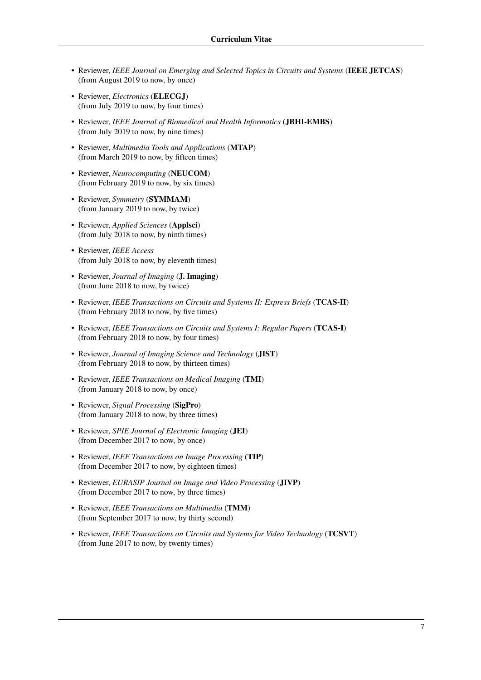- Reviewer, *IEEE Journal on Emerging and Selected Topics in Circuits and Systems* (IEEE JETCAS) (from August 2019 to now, by once)
- Reviewer, *Electronics* (ELECGJ) (from July 2019 to now, by four times)
- Reviewer, *IEEE Journal of Biomedical and Health Informatics* (JBHI-EMBS) (from July 2019 to now, by nine times)
- Reviewer, *Multimedia Tools and Applications* (MTAP) (from March 2019 to now, by fifteen times)
- Reviewer, *Neurocomputing* (NEUCOM) (from February 2019 to now, by six times)
- Reviewer, *Symmetry* (SYMMAM) (from January 2019 to now, by twice)
- Reviewer, *Applied Sciences* (Applsci) (from July 2018 to now, by ninth times)
- Reviewer, *IEEE Access* (from July 2018 to now, by eleventh times)
- Reviewer, *Journal of Imaging* (J. Imaging) (from June 2018 to now, by twice)
- Reviewer, *IEEE Transactions on Circuits and Systems II: Express Briefs* (TCAS-II) (from February 2018 to now, by five times)
- Reviewer, *IEEE Transactions on Circuits and Systems I: Regular Papers* (TCAS-I) (from February 2018 to now, by four times)
- Reviewer, *Journal of Imaging Science and Technology* (JIST) (from February 2018 to now, by thirteen times)
- Reviewer, *IEEE Transactions on Medical Imaging* (TMI) (from January 2018 to now, by once)
- Reviewer, *Signal Processing* (SigPro) (from January 2018 to now, by three times)
- Reviewer, *SPIE Journal of Electronic Imaging* (JEI) (from December 2017 to now, by once)
- Reviewer, *IEEE Transactions on Image Processing* (TIP) (from December 2017 to now, by eighteen times)
- Reviewer, *EURASIP Journal on Image and Video Processing* (JIVP) (from December 2017 to now, by three times)
- Reviewer, *IEEE Transactions on Multimedia* (TMM) (from September 2017 to now, by thirty second)
- Reviewer, *IEEE Transactions on Circuits and Systems for Video Technology* (TCSVT) (from June 2017 to now, by twenty times)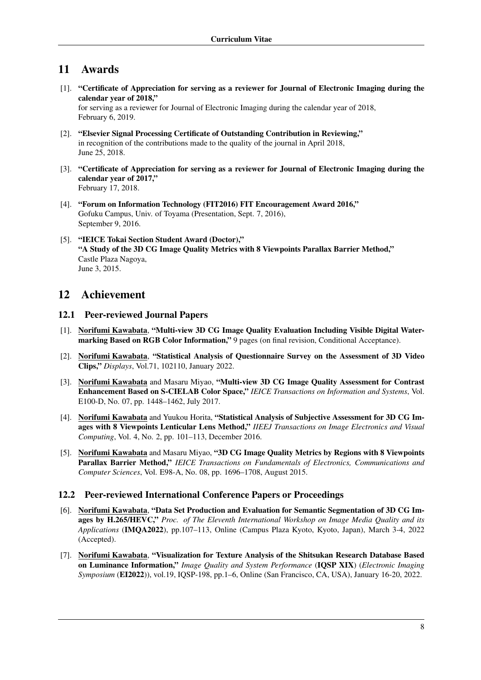# 11 Awards

[1]. "Certificate of Appreciation for serving as a reviewer for Journal of Electronic Imaging during the calendar year of 2018,"

for serving as a reviewer for Journal of Electronic Imaging during the calendar year of 2018, February 6, 2019.

- [2]. "Elsevier Signal Processing Certificate of Outstanding Contribution in Reviewing," in recognition of the contributions made to the quality of the journal in April 2018, June 25, 2018.
- [3]. "Certificate of Appreciation for serving as a reviewer for Journal of Electronic Imaging during the calendar year of 2017," February 17, 2018.
- [4]. "Forum on Information Technology (FIT2016) FIT Encouragement Award 2016," Gofuku Campus, Univ. of Toyama (Presentation, Sept. 7, 2016), September 9, 2016.
- [5]. "IEICE Tokai Section Student Award (Doctor)," "A Study of the 3D CG Image Quality Metrics with 8 Viewpoints Parallax Barrier Method," Castle Plaza Nagoya, June 3, 2015.

## 12 Achievement

### 12.1 Peer-reviewed Journal Papers

- [1]. Norifumi Kawabata, "Multi-view 3D CG Image Quality Evaluation Including Visible Digital Watermarking Based on RGB Color Information," 9 pages (on final revision, Conditional Acceptance).
- [2]. Norifumi Kawabata, "Statistical Analysis of Questionnaire Survey on the Assessment of 3D Video Clips," *Displays*, Vol.71, 102110, January 2022.
- [3]. Norifumi Kawabata and Masaru Miyao, "Multi-view 3D CG Image Quality Assessment for Contrast Enhancement Based on S-CIELAB Color Space," *IEICE Transactions on Information and Systems*, Vol. E100-D, No. 07, pp. 1448–1462, July 2017.
- [4]. Norifumi Kawabata and Yuukou Horita, "Statistical Analysis of Subjective Assessment for 3D CG Images with 8 Viewpoints Lenticular Lens Method," *IIEEJ Transactions on Image Electronics and Visual Computing*, Vol. 4, No. 2, pp. 101–113, December 2016.
- [5]. Norifumi Kawabata and Masaru Miyao, "3D CG Image Quality Metrics by Regions with 8 Viewpoints Parallax Barrier Method," *IEICE Transactions on Fundamentals of Electronics, Communications and Computer Sciences*, Vol. E98-A, No. 08, pp. 1696–1708, August 2015.

### 12.2 Peer-reviewed International Conference Papers or Proceedings

- [6]. Norifumi Kawabata, "Data Set Production and Evaluation for Semantic Segmentation of 3D CG Images by H.265/HEVC," *Proc. of The Eleventh International Workshop on Image Media Quality and its Applications* (IMQA2022), pp.107–113, Online (Campus Plaza Kyoto, Kyoto, Japan), March 3-4, 2022 (Accepted).
- [7]. Norifumi Kawabata, "Visualization for Texture Analysis of the Shitsukan Research Database Based on Luminance Information," *Image Quality and System Performance* (IQSP XIX) (*Electronic Imaging Symposium* (EI2022)), vol.19, IQSP-198, pp.1–6, Online (San Francisco, CA, USA), January 16-20, 2022.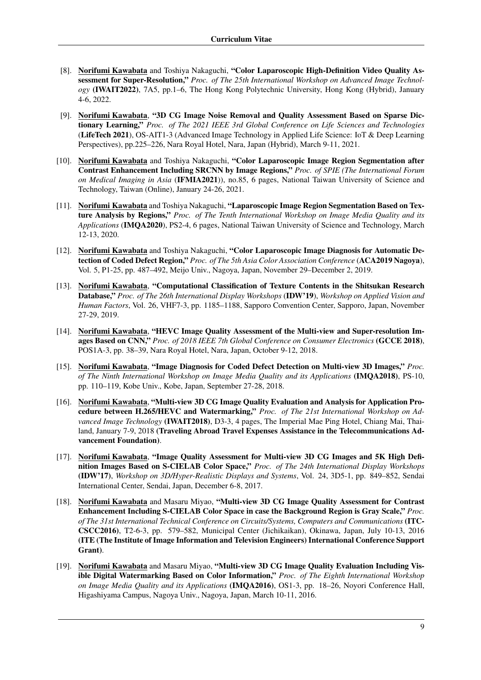- [8]. Norifumi Kawabata and Toshiya Nakaguchi, "Color Laparoscopic High-Definition Video Quality Assessment for Super-Resolution," *Proc. of The 25th International Workshop on Advanced Image Technology* (IWAIT2022), 7A5, pp.1–6, The Hong Kong Polytechnic University, Hong Kong (Hybrid), January 4-6, 2022.
- [9]. Norifumi Kawabata, "3D CG Image Noise Removal and Quality Assessment Based on Sparse Dictionary Learning," *Proc. of The 2021 IEEE 3rd Global Conference on Life Sciences and Technologies* (LifeTech 2021), OS-AIT1-3 (Advanced Image Technology in Applied Life Science: IoT & Deep Learning Perspectives), pp.225–226, Nara Royal Hotel, Nara, Japan (Hybrid), March 9-11, 2021.
- [10]. Norifumi Kawabata and Toshiya Nakaguchi, "Color Laparoscopic Image Region Segmentation after Contrast Enhancement Including SRCNN by Image Regions," *Proc. of SPIE (The International Forum on Medical Imaging in Asia* (IFMIA2021)), no.85, 6 pages, National Taiwan University of Science and Technology, Taiwan (Online), January 24-26, 2021.
- [11]. Norifumi Kawabata and Toshiya Nakaguchi, "Laparoscopic Image Region Segmentation Based on Texture Analysis by Regions," *Proc. of The Tenth International Workshop on Image Media Quality and its Applications* (IMQA2020), PS2-4, 6 pages, National Taiwan University of Science and Technology, March 12-13, 2020.
- [12]. Norifumi Kawabata and Toshiya Nakaguchi, "Color Laparoscopic Image Diagnosis for Automatic Detection of Coded Defect Region," *Proc. of The 5th Asia Color Association Conference* (ACA2019 Nagoya), Vol. 5, P1-25, pp. 487–492, Meijo Univ., Nagoya, Japan, November 29–December 2, 2019.
- [13]. Norifumi Kawabata, "Computational Classification of Texture Contents in the Shitsukan Research Database," *Proc. of The 26th International Display Workshops* (IDW'19), *Workshop on Applied Vision and Human Factors*, Vol. 26, VHF7-3, pp. 1185–1188, Sapporo Convention Center, Sapporo, Japan, November 27-29, 2019.
- [14]. Norifumi Kawabata, "HEVC Image Quality Assessment of the Multi-view and Super-resolution Images Based on CNN," *Proc. of 2018 IEEE 7th Global Conference on Consumer Electronics* (GCCE 2018), POS1A-3, pp. 38–39, Nara Royal Hotel, Nara, Japan, October 9-12, 2018.
- [15]. Norifumi Kawabata, "Image Diagnosis for Coded Defect Detection on Multi-view 3D Images," *Proc. of The Ninth International Workshop on Image Media Quality and its Applications* (IMQA2018), PS-10, pp. 110–119, Kobe Univ., Kobe, Japan, September 27-28, 2018.
- [16]. Norifumi Kawabata, "Multi-view 3D CG Image Quality Evaluation and Analysis for Application Procedure between H.265/HEVC and Watermarking," *Proc. of The 21st International Workshop on Advanced Image Technology* (IWAIT2018), D3-3, 4 pages, The Imperial Mae Ping Hotel, Chiang Mai, Thailand, January 7-9, 2018 (Traveling Abroad Travel Expenses Assistance in the Telecommunications Advancement Foundation).
- [17]. Norifumi Kawabata, "Image Quality Assessment for Multi-view 3D CG Images and 5K High Definition Images Based on S-CIELAB Color Space," *Proc. of The 24th International Display Workshops* (IDW'17), *Workshop on 3D/Hyper-Realistic Displays and Systems*, Vol. 24, 3D5-1, pp. 849–852, Sendai International Center, Sendai, Japan, December 6-8, 2017.
- [18]. Norifumi Kawabata and Masaru Miyao, "Multi-view 3D CG Image Quality Assessment for Contrast Enhancement Including S-CIELAB Color Space in case the Background Region is Gray Scale," *Proc. of The 31st International Technical Conference on Circuits/Systems, Computers and Communications* (ITC-CSCC2016), T2-6-3, pp. 579–582, Municipal Center (Jichikaikan), Okinawa, Japan, July 10-13, 2016 (ITE (The Institute of Image Information and Television Engineers) International Conference Support Grant).
- [19]. Norifumi Kawabata and Masaru Miyao, "Multi-view 3D CG Image Quality Evaluation Including Visible Digital Watermarking Based on Color Information," *Proc. of The Eighth International Workshop on Image Media Quality and its Applications* (IMQA2016), OS1-3, pp. 18–26, Noyori Conference Hall, Higashiyama Campus, Nagoya Univ., Nagoya, Japan, March 10-11, 2016.